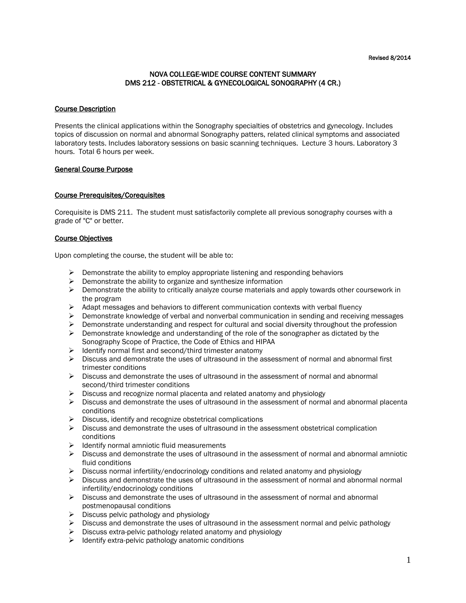#### Revised 8/2014

## NOVA COLLEGE-WIDE COURSE CONTENT SUMMARY DMS 212 - OBSTETRICAL & GYNECOLOGICAL SONOGRAPHY (4 CR.)

#### Course Description

Presents the clinical applications within the Sonography specialties of obstetrics and gynecology. Includes topics of discussion on normal and abnormal Sonography patters, related clinical symptoms and associated laboratory tests. Includes laboratory sessions on basic scanning techniques. Lecture 3 hours. Laboratory 3 hours. Total 6 hours per week.

## General Course Purpose

## Course Prerequisites/Corequisites

Corequisite is DMS 211. The student must satisfactorily complete all previous sonography courses with a grade of "C" or better.

## Course Objectives

Upon completing the course, the student will be able to:

- $\triangleright$  Demonstrate the ability to employ appropriate listening and responding behaviors
- $\triangleright$  Demonstrate the ability to organize and synthesize information
- $\triangleright$  Demonstrate the ability to critically analyze course materials and apply towards other coursework in the program
- $\triangleright$  Adapt messages and behaviors to different communication contexts with verbal fluency
- $\triangleright$  Demonstrate knowledge of verbal and nonverbal communication in sending and receiving messages
- $\triangleright$  Demonstrate understanding and respect for cultural and social diversity throughout the profession
- $\triangleright$  Demonstrate knowledge and understanding of the role of the sonographer as dictated by the Sonography Scope of Practice, the Code of Ethics and HIPAA
- $\triangleright$  Identify normal first and second/third trimester anatomy
- $\triangleright$  Discuss and demonstrate the uses of ultrasound in the assessment of normal and abnormal first trimester conditions
- $\triangleright$  Discuss and demonstrate the uses of ultrasound in the assessment of normal and abnormal second/third trimester conditions
- $\triangleright$  Discuss and recognize normal placenta and related anatomy and physiology
- $\triangleright$  Discuss and demonstrate the uses of ultrasound in the assessment of normal and abnormal placenta conditions
- $\triangleright$  Discuss, identify and recognize obstetrical complications
- $\triangleright$  Discuss and demonstrate the uses of ultrasound in the assessment obstetrical complication conditions
- $\triangleright$  Identify normal amniotic fluid measurements
- $\triangleright$  Discuss and demonstrate the uses of ultrasound in the assessment of normal and abnormal amniotic fluid conditions
- $\triangleright$  Discuss normal infertility/endocrinology conditions and related anatomy and physiology
- $\triangleright$  Discuss and demonstrate the uses of ultrasound in the assessment of normal and abnormal normal infertility/endocrinology conditions
- $\triangleright$  Discuss and demonstrate the uses of ultrasound in the assessment of normal and abnormal postmenopausal conditions
- $\triangleright$  Discuss pelvic pathology and physiology
- $\triangleright$  Discuss and demonstrate the uses of ultrasound in the assessment normal and pelvic pathology
- $\triangleright$  Discuss extra-pelvic pathology related anatomy and physiology
- $\triangleright$  Identify extra-pelvic pathology anatomic conditions